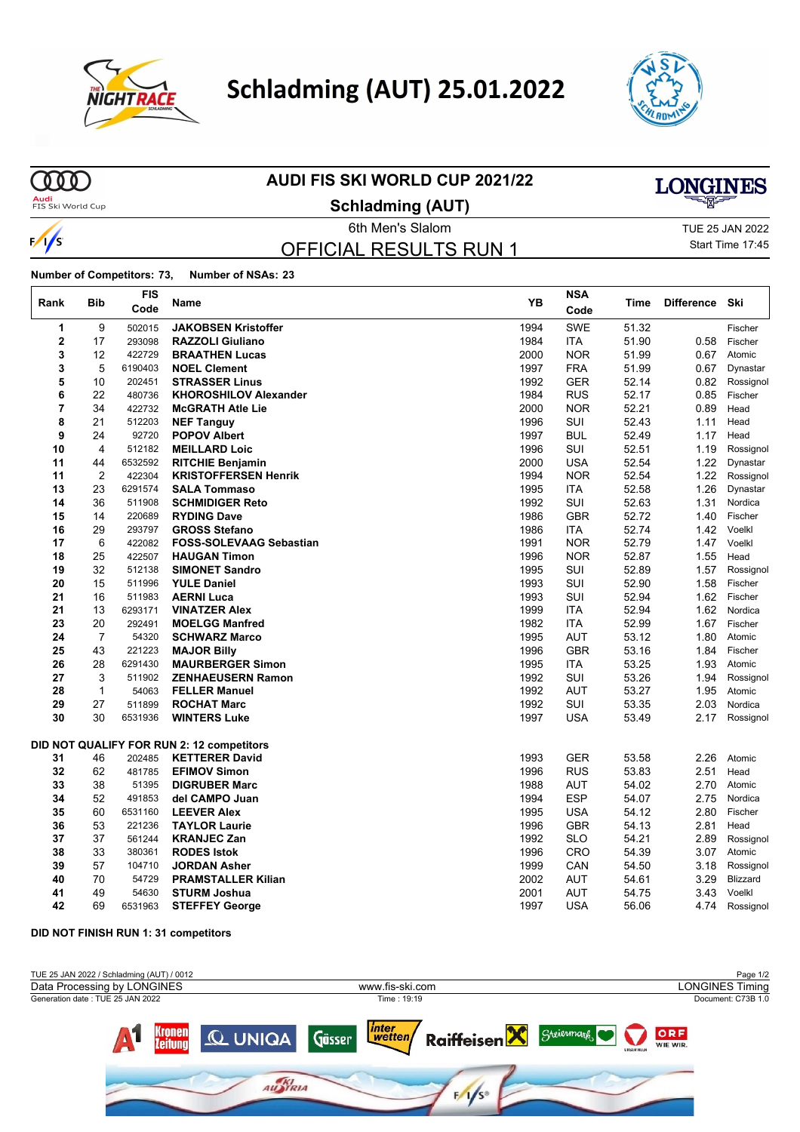

# **Schladming (AUT) 25.01.2022**



## 

 $\sqrt{2}$ /s

 $\mathsf{r}$ 

### **AUDI FIS SKI WORLD CUP 2021/22**

**Audi**<br>FIS Ski World Cup

**Schladming (AUT)**

## OFFICIAL RESULTS RUN 1

**6th Men's Slalom TUE 25 JAN 2022** Start Time 17:45

**LONGINES** 

**Number of Competitors: 73, Number of NSAs: 23**

| Rank           | <b>Bib</b>           | <b>FIS</b><br>Code | Name                                             | YB           | <b>NSA</b><br>Code       | Time           | <b>Difference</b> | Ski                   |
|----------------|----------------------|--------------------|--------------------------------------------------|--------------|--------------------------|----------------|-------------------|-----------------------|
| 1              | 9                    | 502015             | <b>JAKOBSEN Kristoffer</b>                       | 1994         | <b>SWE</b>               | 51.32          |                   | Fischer               |
| $\overline{2}$ | 17                   | 293098             | <b>RAZZOLI Giuliano</b>                          | 1984         | <b>ITA</b>               | 51.90          | 0.58              | Fischer               |
| 3              | 12                   | 422729             | <b>BRAATHEN Lucas</b>                            | 2000         | <b>NOR</b>               | 51.99          | 0.67              | Atomic                |
| 3              | 5                    | 6190403            | <b>NOEL Clement</b>                              | 1997         | <b>FRA</b>               | 51.99          | 0.67              | Dynastar              |
| 5              | 10                   | 202451             | <b>STRASSER Linus</b>                            | 1992         | <b>GER</b>               | 52.14          | 0.82              | Rossignol             |
| 6              | 22                   | 480736             | <b>KHOROSHILOV Alexander</b>                     | 1984         | <b>RUS</b>               | 52.17          | 0.85              | Fischer               |
| 7              | 34                   | 422732             | <b>McGRATH Atle Lie</b>                          | 2000         | <b>NOR</b>               | 52.21          | 0.89              | Head                  |
| 8              | 21                   | 512203             | <b>NEF Tanguy</b>                                | 1996         | SUI                      | 52.43          | 1.11              | Head                  |
| 9              | 24                   | 92720              | <b>POPOV Albert</b>                              | 1997         | <b>BUL</b>               | 52.49          | 1.17              | Head                  |
| 10             | 4                    | 512182             | <b>MEILLARD Loic</b>                             | 1996         | SUI                      | 52.51          | 1.19              | Rossignol             |
| 11             | 44                   | 6532592            | <b>RITCHIE Benjamin</b>                          | 2000         | <b>USA</b>               | 52.54          | 1.22              | Dynastar              |
| 11             | $\overline{2}$       | 422304             | <b>KRISTOFFERSEN Henrik</b>                      | 1994         | <b>NOR</b>               | 52.54          | 1.22              | Rossignol             |
| 13             | 23                   | 6291574            | <b>SALA Tommaso</b>                              | 1995         | ITA                      | 52.58          | 1.26              | Dynastar              |
| 14             | 36                   | 511908             | <b>SCHMIDIGER Reto</b>                           | 1992         | SUI                      | 52.63          | 1.31              | Nordica               |
| 15             | 14                   | 220689             | <b>RYDING Dave</b>                               | 1986         | <b>GBR</b>               | 52.72          | 1.40              | Fischer               |
| 16             | 29                   | 293797             | <b>GROSS Stefano</b>                             | 1986         | ITA                      | 52.74          | 1.42              | Voelkl                |
| 17             | 6                    | 422082             | <b>FOSS-SOLEVAAG Sebastian</b>                   | 1991         | <b>NOR</b>               | 52.79          | 1.47              | Voelkl                |
| 18             | 25                   | 422507             | <b>HAUGAN Timon</b>                              | 1996         | <b>NOR</b>               | 52.87          | 1.55              | Head                  |
| 19             | 32                   | 512138             | <b>SIMONET Sandro</b>                            | 1995         | SUI                      | 52.89          | 1.57              | Rossignol             |
| 20             | 15                   | 511996             | <b>YULE Daniel</b>                               | 1993         | SUI                      | 52.90          | 1.58              | Fischer               |
| 21             | 16                   | 511983             | <b>AERNI Luca</b>                                | 1993         | SUI                      | 52.94          | 1.62              | Fischer               |
| 21             | 13                   | 6293171            | <b>VINATZER Alex</b>                             | 1999         | <b>ITA</b>               | 52.94          | 1.62              | Nordica               |
| 23             | 20                   | 292491             | <b>MOELGG Manfred</b>                            | 1982         | <b>ITA</b>               | 52.99          | 1.67              | Fischer               |
| 24<br>25       | $\overline{7}$<br>43 | 54320<br>221223    | <b>SCHWARZ Marco</b>                             | 1995<br>1996 | <b>AUT</b><br><b>GBR</b> | 53.12<br>53.16 | 1.80<br>1.84      | Atomic<br>Fischer     |
| 26             | 28                   | 6291430            | <b>MAJOR Billy</b><br><b>MAURBERGER Simon</b>    | 1995         | <b>ITA</b>               | 53.25          | 1.93              | Atomic                |
| 27             | 3                    | 511902             | <b>ZENHAEUSERN Ramon</b>                         | 1992         | SUI                      | 53.26          | 1.94              | Rossignol             |
| 28             | $\mathbf{1}$         | 54063              | <b>FELLER Manuel</b>                             | 1992         | <b>AUT</b>               | 53.27          | 1.95              | Atomic                |
| 29             | 27                   | 511899             | <b>ROCHAT Marc</b>                               | 1992         | SUI                      | 53.35          | 2.03              | Nordica               |
| 30             | 30                   | 6531936            | <b>WINTERS Luke</b>                              | 1997         | <b>USA</b>               | 53.49          | 2.17              | Rossignol             |
|                |                      |                    |                                                  |              |                          |                |                   |                       |
|                |                      |                    | DID NOT QUALIFY FOR RUN 2: 12 competitors        |              |                          |                |                   |                       |
| 31             | 46                   | 202485             | <b>KETTERER David</b>                            | 1993         | <b>GER</b>               | 53.58          | 2.26              | Atomic                |
| 32             | 62                   | 481785             | <b>EFIMOV Simon</b>                              | 1996         | <b>RUS</b>               | 53.83          | 2.51              | Head                  |
| 33             | 38                   | 51395              | <b>DIGRUBER Marc</b>                             | 1988         | <b>AUT</b>               | 54.02          | 2.70              | Atomic                |
| 34             | 52                   | 491853             | del CAMPO Juan                                   | 1994         | <b>ESP</b>               | 54.07          | 2.75              | Nordica               |
| 35             | 60                   | 6531160            | <b>LEEVER Alex</b>                               | 1995         | <b>USA</b>               | 54.12          | 2.80              | Fischer               |
| 36             | 53                   | 221236             | <b>TAYLOR Laurie</b>                             | 1996         | <b>GBR</b>               | 54.13          | 2.81              | Head                  |
| 37             | 37                   | 561244             | <b>KRANJEC Zan</b>                               | 1992         | <b>SLO</b>               | 54.21          | 2.89              | Rossignol             |
| 38             | 33                   | 380361             | <b>RODES Istok</b>                               | 1996         | CRO                      | 54.39          | 3.07              | Atomic                |
| 39<br>40       | 57<br>70             | 104710<br>54729    | <b>JORDAN Asher</b><br><b>PRAMSTALLER Kilian</b> | 1999         | CAN                      | 54.50          | 3.18              | Rossignol<br>Blizzard |
| 41             | 49                   | 54630              | <b>STURM Joshua</b>                              | 2002<br>2001 | <b>AUT</b><br><b>AUT</b> | 54.61          | 3.29<br>3.43      | Voelkl                |
| 42             | 69                   |                    |                                                  |              | <b>USA</b>               | 54.75<br>56.06 |                   |                       |
|                |                      | 6531963            | <b>STEFFEY George</b>                            | 1997         |                          |                | 4.74              | Rossignol             |

#### **DID NOT FINISH RUN 1: 31 competitors**

| TUE 25 JAN 2022 / Schladming (AUT) / 0012 |                                       | Page 1/2                                    |  |  |  |
|-------------------------------------------|---------------------------------------|---------------------------------------------|--|--|--|
| Data Processing by LONGINES               | www.fis-ski.com                       | <b>LONGINES Timing</b>                      |  |  |  |
| Generation date: TUE 25 JAN 2022          | Time: 19:19                           | Document: C73B 1.0                          |  |  |  |
| Kronen Q UNIQA Güsser                     | inter<br>wetten/<br><b>Raiffeisen</b> | ORF<br>Steiermark<br>WIE WIR.<br>UNSER HEER |  |  |  |
|                                           | AU <b>KI</b> RIA<br>$F/1/S^*$         |                                             |  |  |  |